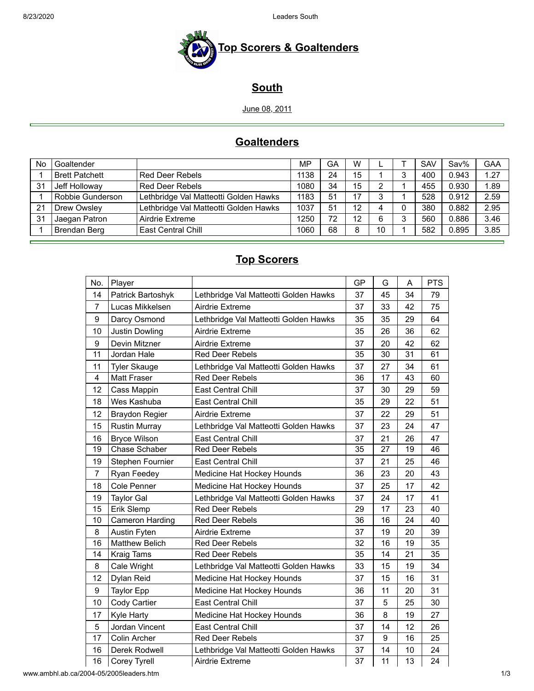8/23/2020 Leaders South



## **South**

June 08, 2011

## **Goaltenders**

| No  | Goaltender            |                                       | <b>MP</b> | GA | W  |    | <b>SAV</b> | Sav%  | <b>GAA</b> |
|-----|-----------------------|---------------------------------------|-----------|----|----|----|------------|-------|------------|
|     | <b>Brett Patchett</b> | <b>Red Deer Rebels</b>                | 1138      | 24 | 15 |    | 400        | 0.943 | 1.27       |
| -31 | Jeff Holloway         | Red Deer Rebels                       | 1080      | 34 | 15 | っ  | 455        | 0.930 | 1.89       |
|     | Robbie Gunderson      | Lethbridge Val Matteotti Golden Hawks | 1183      | 51 | 17 | 3  | 528        | 0.912 | 2.59       |
| 21  | Drew Owsley           | Lethbridge Val Matteotti Golden Hawks | 1037      | 51 | 12 |    | 380        | 0.882 | 2.95       |
| 31  | Jaegan Patron         | Airdrie Extreme                       | 1250      | 72 | 12 | 6  | 560        | 0.886 | 3.46       |
|     | Brendan Berg          | <b>East Central Chill</b>             | 1060      | 68 | 8  | 10 | 582        | 0.895 | 3.85       |

#### **Top Scorers**

| No.            | Player                 |                                       | GP | G  | A  | <b>PTS</b> |
|----------------|------------------------|---------------------------------------|----|----|----|------------|
| 14             | Patrick Bartoshyk      | Lethbridge Val Matteotti Golden Hawks | 37 | 45 | 34 | 79         |
| $\overline{7}$ | Lucas Mikkelsen        | Airdrie Extreme                       | 37 | 33 | 42 | 75         |
| 9              | Darcy Osmond           | Lethbridge Val Matteotti Golden Hawks | 35 | 35 | 29 | 64         |
| 10             | <b>Justin Dowling</b>  | Airdrie Extreme                       | 35 | 26 | 36 | 62         |
| 9              | Devin Mitzner          | Airdrie Extreme                       | 37 | 20 | 42 | 62         |
| 11             | Jordan Hale            | <b>Red Deer Rebels</b>                | 35 | 30 | 31 | 61         |
| 11             | <b>Tyler Skauge</b>    | Lethbridge Val Matteotti Golden Hawks | 37 | 27 | 34 | 61         |
| $\overline{4}$ | <b>Matt Fraser</b>     | <b>Red Deer Rebels</b>                | 36 | 17 | 43 | 60         |
| 12             | Cass Mappin            | <b>East Central Chill</b>             | 37 | 30 | 29 | 59         |
| 18             | Wes Kashuba            | East Central Chill                    | 35 | 29 | 22 | 51         |
| 12             | <b>Braydon Regier</b>  | Airdrie Extreme                       | 37 | 22 | 29 | 51         |
| 15             | <b>Rustin Murray</b>   | Lethbridge Val Matteotti Golden Hawks | 37 | 23 | 24 | 47         |
| 16             | <b>Bryce Wilson</b>    | East Central Chill                    | 37 | 21 | 26 | 47         |
| 19             | <b>Chase Schaber</b>   | <b>Red Deer Rebels</b>                | 35 | 27 | 19 | 46         |
| 19             | Stephen Fournier       | East Central Chill                    | 37 | 21 | 25 | 46         |
| $\overline{7}$ | Ryan Feedey            | Medicine Hat Hockey Hounds            | 36 | 23 | 20 | 43         |
| 18             | Cole Penner            | Medicine Hat Hockey Hounds            | 37 | 25 | 17 | 42         |
| 19             | <b>Taylor Gal</b>      | Lethbridge Val Matteotti Golden Hawks | 37 | 24 | 17 | 41         |
| 15             | Erik Slemp             | <b>Red Deer Rebels</b>                | 29 | 17 | 23 | 40         |
| 10             | <b>Cameron Harding</b> | <b>Red Deer Rebels</b>                | 36 | 16 | 24 | 40         |
| 8              | <b>Austin Fyten</b>    | Airdrie Extreme                       | 37 | 19 | 20 | 39         |
| 16             | <b>Matthew Belich</b>  | Red Deer Rebels                       | 32 | 16 | 19 | 35         |
| 14             | Kraig Tams             | <b>Red Deer Rebels</b>                | 35 | 14 | 21 | 35         |
| 8              | Cale Wright            | Lethbridge Val Matteotti Golden Hawks | 33 | 15 | 19 | 34         |
| 12             | Dylan Reid             | Medicine Hat Hockey Hounds            | 37 | 15 | 16 | 31         |
| 9              | <b>Taylor Epp</b>      | Medicine Hat Hockey Hounds            | 36 | 11 | 20 | 31         |
| 10             | Cody Cartier           | East Central Chill                    | 37 | 5  | 25 | 30         |
| 17             | <b>Kyle Harty</b>      | Medicine Hat Hockey Hounds            | 36 | 8  | 19 | 27         |
| 5              | Jordan Vincent         | East Central Chill                    | 37 | 14 | 12 | 26         |
| 17             | Colin Archer           | <b>Red Deer Rebels</b>                | 37 | 9  | 16 | 25         |
| 16             | Derek Rodwell          | Lethbridge Val Matteotti Golden Hawks | 37 | 14 | 10 | 24         |
| 16             | Corey Tyrell           | Airdrie Extreme                       | 37 | 11 | 13 | 24         |

www.ambhl.ab.ca/2004-05/2005leaders.htm 1/3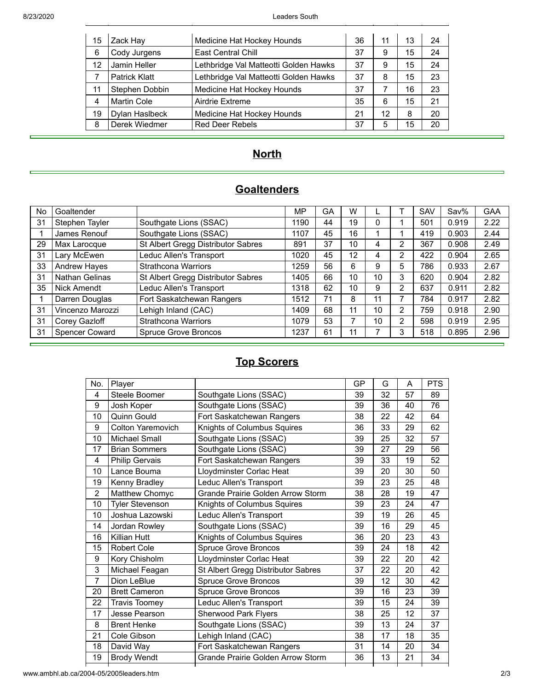| 15 | Zack Hay             | Medicine Hat Hockey Hounds            | 36 | 11 | 13 | 24 |
|----|----------------------|---------------------------------------|----|----|----|----|
| 6  | Cody Jurgens         | <b>East Central Chill</b>             | 37 | 9  | 15 | 24 |
| 12 | Jamin Heller         | Lethbridge Val Matteotti Golden Hawks | 37 | 9  | 15 | 24 |
|    | <b>Patrick Klatt</b> | Lethbridge Val Matteotti Golden Hawks | 37 | 8  | 15 | 23 |
| 11 | Stephen Dobbin       | Medicine Hat Hockey Hounds            | 37 | 7  | 16 | 23 |
| 4  | <b>Martin Cole</b>   | Airdrie Extreme                       | 35 | 6  | 15 | 21 |
| 19 | Dylan Haslbeck       | Medicine Hat Hockey Hounds            | 21 | 12 | 8  | 20 |
| 8  | Derek Wiedmer        | <b>Red Deer Rebels</b>                | 37 | 5  | 15 | 20 |

## **North**

## **Goaltenders**

| No | Goaltender            |                                    | MP   | GА | W  |    |                | SAV | Sav%  | <b>GAA</b> |
|----|-----------------------|------------------------------------|------|----|----|----|----------------|-----|-------|------------|
| 31 | Stephen Tayler        | Southgate Lions (SSAC)             | 1190 | 44 | 19 | 0  |                | 501 | 0.919 | 2.22       |
|    | James Renouf          | Southgate Lions (SSAC)             | 1107 | 45 | 16 |    |                | 419 | 0.903 | 2.44       |
| 29 | Max Larocque          | St Albert Gregg Distributor Sabres | 891  | 37 | 10 | 4  | $\overline{2}$ | 367 | 0.908 | 2.49       |
| 31 | Lary McEwen           | Leduc Allen's Transport            | 1020 | 45 | 12 | 4  | 2              | 422 | 0.904 | 2.65       |
| 33 | <b>Andrew Hayes</b>   | <b>Strathcona Warriors</b>         | 1259 | 56 | 6  | 9  | 5              | 786 | 0.933 | 2.67       |
| 31 | <b>Nathan Gelinas</b> | St Albert Gregg Distributor Sabres | 1405 | 66 | 10 | 10 | 3              | 620 | 0.904 | 2.82       |
| 35 | Nick Amendt           | Leduc Allen's Transport            | 1318 | 62 | 10 | 9  | 2              | 637 | 0.911 | 2.82       |
|    | Darren Douglas        | Fort Saskatchewan Rangers          | 1512 | 71 | 8  | 11 | 7              | 784 | 0.917 | 2.82       |
| 31 | Vincenzo Marozzi      | Lehigh Inland (CAC)                | 1409 | 68 | 11 | 10 | $\overline{2}$ | 759 | 0.918 | 2.90       |
| 31 | Corey Gazloff         | <b>Strathcona Warriors</b>         | 1079 | 53 |    | 10 | $\overline{2}$ | 598 | 0.919 | 2.95       |
| 31 | <b>Spencer Coward</b> | <b>Spruce Grove Broncos</b>        | 1237 | 61 | 11 |    | 3              | 518 | 0.895 | 2.96       |

# **Top Scorers**

| No.            | Player                   |                                          | GP | G  | A  | <b>PTS</b> |
|----------------|--------------------------|------------------------------------------|----|----|----|------------|
| 4              | Steele Boomer            | Southgate Lions (SSAC)                   | 39 | 32 | 57 | 89         |
| 9              | Josh Koper               | Southgate Lions (SSAC)                   | 39 | 36 | 40 | 76         |
| 10             | Quinn Gould              | Fort Saskatchewan Rangers                | 38 | 22 | 42 | 64         |
| 9              | <b>Colton Yaremovich</b> | Knights of Columbus Squires              | 36 | 33 | 29 | 62         |
| 10             | Michael Small            | Southgate Lions (SSAC)                   | 39 | 25 | 32 | 57         |
| 17             | <b>Brian Sommers</b>     | Southgate Lions (SSAC)                   | 39 | 27 | 29 | 56         |
| 4              | Philip Gervais           | Fort Saskatchewan Rangers                | 39 | 33 | 19 | 52         |
| 10             | Lance Bouma              | Lloydminster Corlac Heat                 | 39 | 20 | 30 | 50         |
| 19             | Kenny Bradley            | Leduc Allen's Transport                  | 39 | 23 | 25 | 48         |
| 2              | Matthew Chomyc           | <b>Grande Prairie Golden Arrow Storm</b> | 38 | 28 | 19 | 47         |
| 10             | <b>Tyler Stevenson</b>   | Knights of Columbus Squires              | 39 | 23 | 24 | 47         |
| 10             | Joshua Lazowski          | Leduc Allen's Transport                  | 39 | 19 | 26 | 45         |
| 14             | Jordan Rowley            | Southgate Lions (SSAC)                   | 39 | 16 | 29 | 45         |
| 16             | Killian Hutt             | Knights of Columbus Squires              | 36 | 20 | 23 | 43         |
| 15             | <b>Robert Cole</b>       | <b>Spruce Grove Broncos</b>              | 39 | 24 | 18 | 42         |
| 9              | Kory Chisholm            | Lloydminster Corlac Heat                 | 39 | 22 | 20 | 42         |
| 3              | Michael Feagan           | St Albert Gregg Distributor Sabres       | 37 | 22 | 20 | 42         |
| $\overline{7}$ | Dion LeBlue              | <b>Spruce Grove Broncos</b>              | 39 | 12 | 30 | 42         |
| 20             | <b>Brett Cameron</b>     | Spruce Grove Broncos                     | 39 | 16 | 23 | 39         |
| 22             | <b>Travis Toomey</b>     | Leduc Allen's Transport                  | 39 | 15 | 24 | 39         |
| 17             | Jesse Pearson            | <b>Sherwood Park Flyers</b>              | 38 | 25 | 12 | 37         |
| 8              | <b>Brent Henke</b>       | Southgate Lions (SSAC)                   | 39 | 13 | 24 | 37         |
| 21             | Cole Gibson              | Lehigh Inland (CAC)                      | 38 | 17 | 18 | 35         |
| 18             | David Way                | Fort Saskatchewan Rangers                | 31 | 14 | 20 | 34         |
| 19             | <b>Brody Wendt</b>       | <b>Grande Prairie Golden Arrow Storm</b> | 36 | 13 | 21 | 34         |
|                |                          |                                          |    |    |    |            |